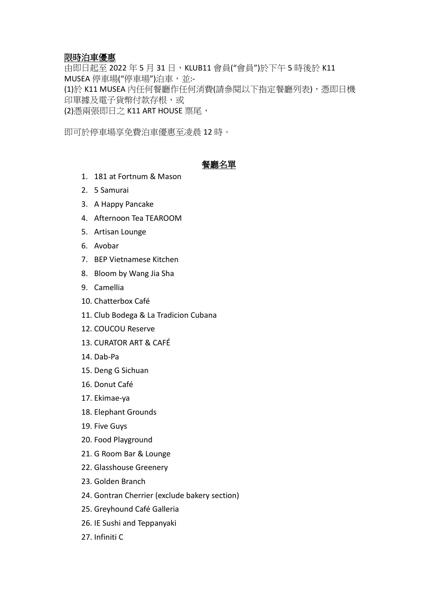# 限時泊車優惠

由即日起至 2022 年 5 月 31 日, KLUB11 會員("會員")於下午 5 時後於 K11 MUSEA 停車場("停車場")泊車,並:-(1)於 K11 MUSEA 內任何餐廳作任何消費(請參閱以下指定餐廳列表),憑即日機 印單據及電子貨幣付款存根,或 (2)憑兩張即日之 K11 ART HOUSE 票尾,

即可於停車場享免費泊車優惠至凌晨 12 時。

## 餐廳名單

- 1. 181 at Fortnum & Mason
- 2. 5 Samurai
- 3. A Happy Pancake
- 4. Afternoon Tea TEAROOM
- 5. Artisan Lounge
- 6. Avobar
- 7. BEP Vietnamese Kitchen
- 8. Bloom by Wang Jia Sha
- 9. Camellia
- 10. Chatterbox Café
- 11. Club Bodega & La Tradicion Cubana
- 12. COUCOU Reserve
- 13. CURATOR ART & CAFÉ
- 14. Dab-Pa
- 15. Deng G Sichuan
- 16. Donut Café
- 17. Ekimae-ya
- 18. Elephant Grounds
- 19. Five Guys
- 20. Food Playground
- 21. G Room Bar & Lounge
- 22. Glasshouse Greenery
- 23. Golden Branch
- 24. Gontran Cherrier (exclude bakery section)
- 25. Greyhound Café Galleria
- 26. IE Sushi and Teppanyaki
- 27. Infiniti C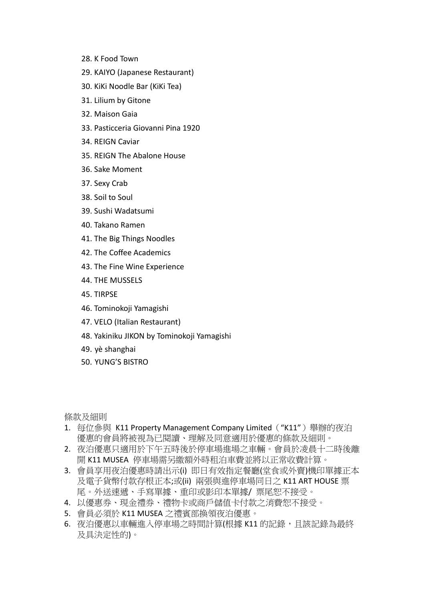- 28. K Food Town
- 29. KAIYO (Japanese Restaurant)
- 30. KiKi Noodle Bar (KiKi Tea)
- 31. Lilium by Gitone
- 32. Maison Gaia
- 33. Pasticceria Giovanni Pina 1920
- 34. REIGN Caviar
- 35. REIGN The Abalone House
- 36. Sake Moment
- 37. Sexy Crab
- 38. Soil to Soul
- 39. Sushi Wadatsumi
- 40. Takano Ramen
- 41. The Big Things Noodles
- 42. The Coffee Academics
- 43. The Fine Wine Experience
- 44. THE MUSSELS
- 45. TIRPSE
- 46. Tominokoji Yamagishi
- 47. VELO (Italian Restaurant)
- 48. Yakiniku JIKON by Tominokoji Yamagishi
- 49. yè shanghai
- 50. YUNG'S BISTRO

條款及細則

- 1. 每位參與 K11 Property Management Company Limited("K11")舉辦的夜泊 優惠的會員將被視為已閱讀、理解及同意適用於優惠的條款及細則。
- 2. 夜泊優惠只適用於下午五時後於停車場進場之車輛。會員於凌晨十二時後離 開 K11 MUSEA 停車場需另繳額外時租泊車費並將以正常收費計算。
- 3. 會員享用夜泊優惠時請出示(i) 即日有效指定餐廳(堂食或外賣)機印單據正本 及電子貨幣付款存根正本;或(ii) 兩張與進停車場同日之 K11 ART HOUSE 票 尾。外送速遞、手寫單據、重印或影印本單據/ 票尾恕不接受。
- 4. 以優惠券、現金禮券、禮物卡或商戶儲值卡付款之消費恕不接受。
- 5. 會員必須於 K11 MUSEA 之禮賓部換領夜泊優惠。
- 6. 夜泊優惠以車輛進入停車場之時間計算(根據 K11 的記錄, 且該記錄為最終 及具決定性的)。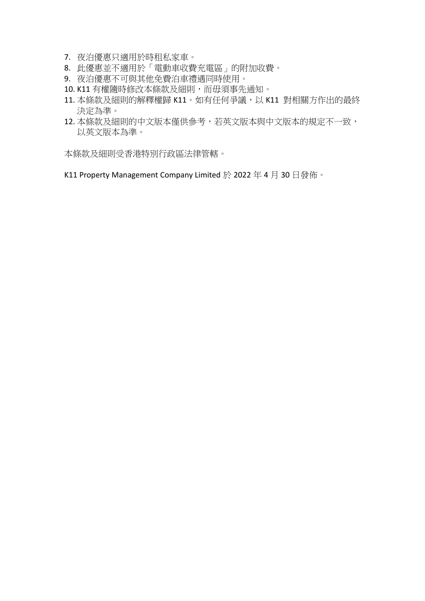- 7. 夜泊優惠只適用於時租私家車。
- 8. 此優惠並不適用於「電動車收費充電區」的附加收費。
- 9. 夜泊優惠不可與其他免費泊車禮遇同時使用。
- 10. K11 有權隨時修改本條款及細則,而毋須事先通知。
- 11. 本條款及細則的解釋權歸 K11。如有任何爭議,以 K11 對相關方作出的最終 決定為準。
- 12. 本條款及細則的中文版本僅供參考,若英文版本與中文版本的規定不一致, 以英文版本為準。

本條款及細則受香港特別行政區法律管轄。

K11 Property Management Company Limited 於 2022 年 4 月 30 日發佈。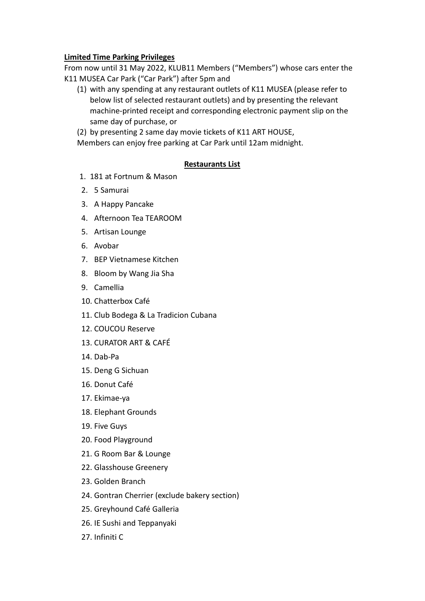#### **Limited Time Parking Privileges**

From now until 31 May 2022, KLUB11 Members ("Members") whose cars enter the K11 MUSEA Car Park ("Car Park") after 5pm and

(1) with any spending at any restaurant outlets of K11 MUSEA (please refer to below list of selected restaurant outlets) and by presenting the relevant machine-printed receipt and corresponding electronic payment slip on the same day of purchase, or

(2) by presenting 2 same day movie tickets of K11 ART HOUSE,

Members can enjoy free parking at Car Park until 12am midnight.

#### **Restaurants List**

- 1. 181 at Fortnum & Mason
- 2. 5 Samurai
- 3. A Happy Pancake
- 4. Afternoon Tea TEAROOM
- 5. Artisan Lounge
- 6. Avobar
- 7. BEP Vietnamese Kitchen
- 8. Bloom by Wang Jia Sha
- 9. Camellia
- 10. Chatterbox Café
- 11. Club Bodega & La Tradicion Cubana
- 12. COUCOU Reserve
- 13. CURATOR ART & CAFÉ
- 14. Dab-Pa
- 15. Deng G Sichuan
- 16. Donut Café
- 17. Ekimae-ya
- 18. Elephant Grounds
- 19. Five Guys
- 20. Food Playground
- 21. G Room Bar & Lounge
- 22. Glasshouse Greenery
- 23. Golden Branch
- 24. Gontran Cherrier (exclude bakery section)
- 25. Greyhound Café Galleria
- 26. IE Sushi and Teppanyaki
- 27. Infiniti C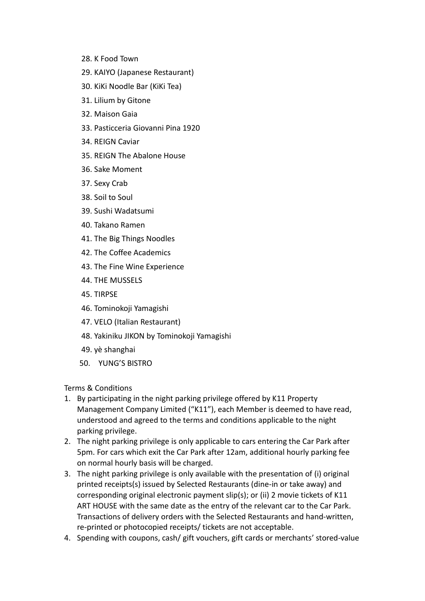- 28. K Food Town
- 29. KAIYO (Japanese Restaurant)
- 30. KiKi Noodle Bar (KiKi Tea)
- 31. Lilium by Gitone
- 32. Maison Gaia
- 33. Pasticceria Giovanni Pina 1920
- 34. REIGN Caviar
- 35. REIGN The Abalone House
- 36. Sake Moment
- 37. Sexy Crab
- 38. Soil to Soul
- 39. Sushi Wadatsumi
- 40. Takano Ramen
- 41. The Big Things Noodles
- 42. The Coffee Academics
- 43. The Fine Wine Experience
- 44. THE MUSSELS
- 45. TIRPSE
- 46. Tominokoji Yamagishi
- 47. VELO (Italian Restaurant)
- 48. Yakiniku JIKON by Tominokoji Yamagishi
- 49. yè shanghai
- 50. YUNG'S BISTRO

Terms & Conditions

- 1. By participating in the night parking privilege offered by K11 Property Management Company Limited ("K11"), each Member is deemed to have read, understood and agreed to the terms and conditions applicable to the night parking privilege.
- 2. The night parking privilege is only applicable to cars entering the Car Park after 5pm. For cars which exit the Car Park after 12am, additional hourly parking fee on normal hourly basis will be charged.
- 3. The night parking privilege is only available with the presentation of (i) original printed receipts(s) issued by Selected Restaurants (dine-in or take away) and corresponding original electronic payment slip(s); or (ii) 2 movie tickets of K11 ART HOUSE with the same date as the entry of the relevant car to the Car Park. Transactions of delivery orders with the Selected Restaurants and hand-written, re-printed or photocopied receipts/ tickets are not acceptable.
- 4. Spending with coupons, cash/ gift vouchers, gift cards or merchants' stored-value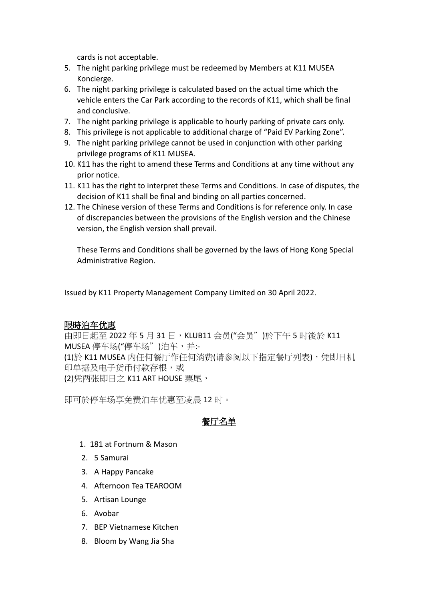cards is not acceptable.

- 5. The night parking privilege must be redeemed by Members at K11 MUSEA Koncierge.
- 6. The night parking privilege is calculated based on the actual time which the vehicle enters the Car Park according to the records of K11, which shall be final and conclusive.
- 7. The night parking privilege is applicable to hourly parking of private cars only.
- 8. This privilege is not applicable to additional charge of "Paid EV Parking Zone".
- 9. The night parking privilege cannot be used in conjunction with other parking privilege programs of K11 MUSEA.
- 10. K11 has the right to amend these Terms and Conditions at any time without any prior notice.
- 11. K11 has the right to interpret these Terms and Conditions. In case of disputes, the decision of K11 shall be final and binding on all parties concerned.
- 12. The Chinese version of these Terms and Conditions is for reference only. In case of discrepancies between the provisions of the English version and the Chinese version, the English version shall prevail.

These Terms and Conditions shall be governed by the laws of Hong Kong Special Administrative Region.

Issued by K11 Property Management Company Limited on 30 April 2022.

## 限時泊车优惠

中即日起至 2022 年 5 月 31 日,KLUB11 会员("会员")於下午 5 时後於 K11 MUSEA 停车场("停车场")泊车,并:-(1)於 K11 MUSEA 内任何餐厅作任何消费(请参阅以下指定餐厅列表),凭即日机 印单据及电子货币付款存根,或 (2)凭两张即日之 K11 ART HOUSE 票尾,

即可於停车场享免费泊车优惠至凌晨 12 时。

# 餐厅名单

- 1. 181 at Fortnum & Mason
- 2. 5 Samurai
- 3. A Happy Pancake
- 4. Afternoon Tea TEAROOM
- 5. Artisan Lounge
- 6. Avobar
- 7. BEP Vietnamese Kitchen
- 8. Bloom by Wang Jia Sha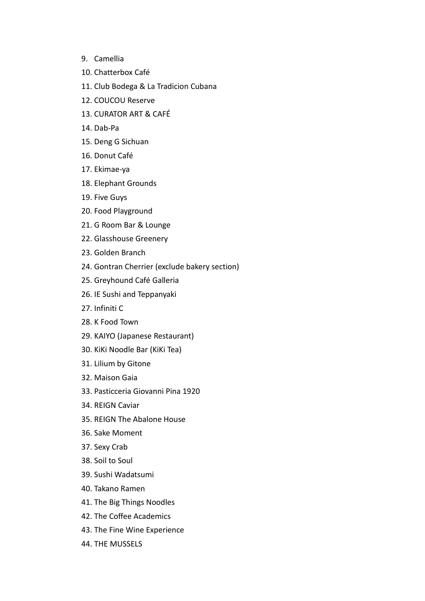- 9. Camellia
- 10. Chatterbox Café
- 11. Club Bodega & La Tradicion Cubana
- 12. COUCOU Reserve
- 13. CURATOR ART & CAFÉ
- 14. Dab-Pa
- 15. Deng G Sichuan
- 16. Donut Café
- 17. Ekimae-ya
- 18. Elephant Grounds
- 19. Five Guys
- 20. Food Playground
- 21. G Room Bar & Lounge
- 22. Glasshouse Greenery
- 23. Golden Branch
- 24. Gontran Cherrier (exclude bakery section)
- 25. Greyhound Café Galleria
- 26. IE Sushi and Teppanyaki
- 27. Infiniti C
- 28. K Food Town
- 29. KAIYO (Japanese Restaurant)
- 30. KiKi Noodle Bar (KiKi Tea)
- 31. Lilium by Gitone
- 32. Maison Gaia
- 33. Pasticceria Giovanni Pina 1920
- 34. REIGN Caviar
- 35. REIGN The Abalone House
- 36. Sake Moment
- 37. Sexy Crab
- 38. Soil to Soul
- 39. Sushi Wadatsumi
- 40. Takano Ramen
- 41. The Big Things Noodles
- 42. The Coffee Academics
- 43. The Fine Wine Experience
- 44. THE MUSSELS